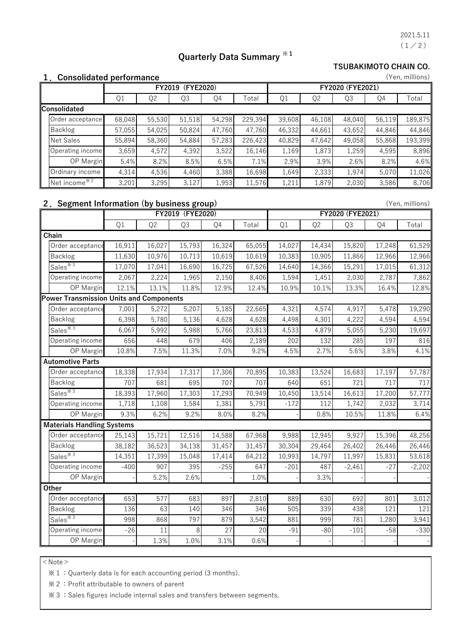$(1/2)$ 2021.5.11

(Yen, millions)

(Yen, millions)

# **Quarterly Data Summary ※1**

**TSUBAKIMOTO CHAIN CO.**

#### **1.Consolidated performance**

|                              | (FYE2020)<br>FY2019 |        |        |        |         | FY2020 (FYE2021) |                |        |        |         |  |
|------------------------------|---------------------|--------|--------|--------|---------|------------------|----------------|--------|--------|---------|--|
|                              | Q1                  | Q2     | Q3     | Q4     | Total   | Q1               | Q <sub>2</sub> | Q3     | Q4     | Total   |  |
| Consolidated                 |                     |        |        |        |         |                  |                |        |        |         |  |
| Order acceptance             | 68,048              | 55,530 | 51,518 | 54,298 | 229,394 | 39,608           | 46,108         | 48,040 | 56,119 | 189,875 |  |
| Backlog                      | 57,055              | 54,025 | 50,824 | 47,760 | 47,760  | 46,332           | 44,661         | 43,652 | 44,846 | 44,846  |  |
| <b>Net Sales</b>             | 55.894              | 58,360 | 54,884 | 57,283 | 226,423 | 40,829           | 47,642         | 49,058 | 55,868 | 193,399 |  |
| Operating income             | 3,659               | 4,572  | 4,392  | 3,522  | 16,146  | 1,169            | 1,873          | 1,259  | 4,595  | 8,896   |  |
| OP Margin                    | 5.4%                | 8.2%   | 8.5%   | 6.5%   | 7.1%    | 2.9%             | 3.9%           | 2.6%   | 8.2%   | 4.6%    |  |
| Ordinary income              | 4,314               | 4,536  | 4,460  | 3,388  | 16,698  | 1,649            | 2,333          | 1,974  | 5,070  | 11,026  |  |
| INet income $*$ <sup>2</sup> | 3.201               | 3.295  | 3,127  | 1,953  | 11,576  | 1,211            | 1,879          | 2,030  | 3,586  | 8,706   |  |

### **2.Segment Information (by business group)**

|                                                | FY2019 (FYE2020) |                |        |        |        | FY2020 (FYE2021) |                |          |        |          |  |
|------------------------------------------------|------------------|----------------|--------|--------|--------|------------------|----------------|----------|--------|----------|--|
|                                                | Q1               | Q <sub>2</sub> | Q3     | Q4     | Total  | Q1               | Q <sub>2</sub> | Q3       | Q4     | Total    |  |
| Chain                                          |                  |                |        |        |        |                  |                |          |        |          |  |
| Order acceptance                               | 16,911           | 16,027         | 15,793 | 16,324 | 65,055 | 14,027           | 14,434         | 15,820   | 17,248 | 61,529   |  |
| Backlog                                        | 11,630           | 10,976         | 10,713 | 10,619 | 10,619 | 10,383           | 10,905         | 11,866   | 12,966 | 12,966   |  |
| Sales $*3$                                     | 17,070           | 17,041         | 16,690 | 16,725 | 67,526 | 14,640           | 14,366         | 15,291   | 17,015 | 61,312   |  |
| Operating income                               | 2,067            | 2,224          | 1,965  | 2,150  | 8,406  | 1,594            | 1,451          | 2,030    | 2,787  | 7,862    |  |
| OP Margin                                      | 12.1%            | 13.1%          | 11.8%  | 12.9%  | 12.4%  | 10.9%            | 10.1%          | 13.3%    | 16.4%  | 12.8%    |  |
| <b>Power Transmission Units and Components</b> |                  |                |        |        |        |                  |                |          |        |          |  |
| Order acceptance                               | 7,001            | 5,272          | 5,207  | 5,185  | 22,665 | 4,321            | 4,574          | 4,917    | 5,478  | 19,290   |  |
| Backlog                                        | 6,398            | 5,780          | 5,136  | 4,628  | 4,628  | 4,498            | 4,301          | 4,222    | 4,594  | 4,594    |  |
| Sales $*3$                                     | 6,067            | 5,992          | 5,988  | 5,766  | 23,813 | 4,533            | 4,879          | 5,055    | 5,230  | 19,697   |  |
| Operating income                               | 656              | 448            | 679    | 406    | 2,189  | 202              | 132            | 285      | 197    | 816      |  |
| OP Margin                                      | 10.8%            | 7.5%           | 11.3%  | 7.0%   | 9.2%   | 4.5%             | 2.7%           | 5.6%     | 3.8%   | 4.1%     |  |
| <b>Automotive Parts</b>                        |                  |                |        |        |        |                  |                |          |        |          |  |
| Order acceptance                               | 18,338           | 17,934         | 17,317 | 17,306 | 70,895 | 10,383           | 13,524         | 16,683   | 17,197 | 57,787   |  |
| Backlog                                        | 707              | 681            | 695    | 707    | 707    | 640              | 651            | 721      | 717    | 717      |  |
| Sales $*3$                                     | 18,393           | 17,960         | 17,303 | 17,293 | 70,949 | 10,450           | 13,514         | 16,613   | 17,200 | 57,777   |  |
| Operating income                               | 1,718            | 1,108          | 1,584  | 1,381  | 5,791  | $-172$           | 112            | 1,742    | 2,032  | 3,714    |  |
| OP Margin                                      | 9.3%             | 6.2%           | 9.2%   | 8.0%   | 8.2%   |                  | 0.8%           | 10.5%    | 11.8%  | 6.4%     |  |
| <b>Materials Handling Systems</b>              |                  |                |        |        |        |                  |                |          |        |          |  |
| Order acceptance                               | 25,143           | 15,721         | 12,516 | 14,588 | 67,968 | 9,988            | 12,945         | 9,927    | 15,396 | 48,256   |  |
| <b>Backlog</b>                                 | 38,182           | 36,523         | 34,138 | 31,457 | 31,457 | 30,304           | 29,464         | 26,402   | 26,446 | 26,446   |  |
| Sales <sup>*3</sup>                            | 14,351           | 17,399         | 15,048 | 17,414 | 64,212 | 10,993           | 14,797         | 11,997   | 15,831 | 53,618   |  |
| Operating income                               | $-400$           | 907            | 395    | $-255$ | 647    | $-201$           | 487            | $-2,461$ | $-27$  | $-2,202$ |  |
| OP Margin                                      |                  | 5.2%           | 2.6%   |        | 1.0%   |                  | 3.3%           |          |        |          |  |
| Other                                          |                  |                |        |        |        |                  |                |          |        |          |  |
| Order acceptance                               | 653              | 577            | 683    | 897    | 2,810  | 889              | 630            | 692      | 801    | 3,012    |  |
| Backlog                                        | 136              | 63             | 140    | 346    | 346    | 505              | 339            | 438      | 121    | 121      |  |
| Sales $*3$                                     | 998              | 868            | 797    | 879    | 3,542  | 881              | 999            | 781      | 1,280  | 3,941    |  |
| Operating income                               | $-26$            | 11             | 8      | 27     | 20     | $-91$            | $-80$          | $-101$   | $-58$  | $-330$   |  |
| OP Margin                                      |                  | 1.3%           | 1.0%   | 3.1%   | 0.6%   |                  |                |          |        |          |  |

 $<$  Note  $>$ 

※1:Quarterly data is for each accounting period (3 months).

※2:Profit attributable to owners of parent

※3:Sales figures include internal sales and transfers between segments.